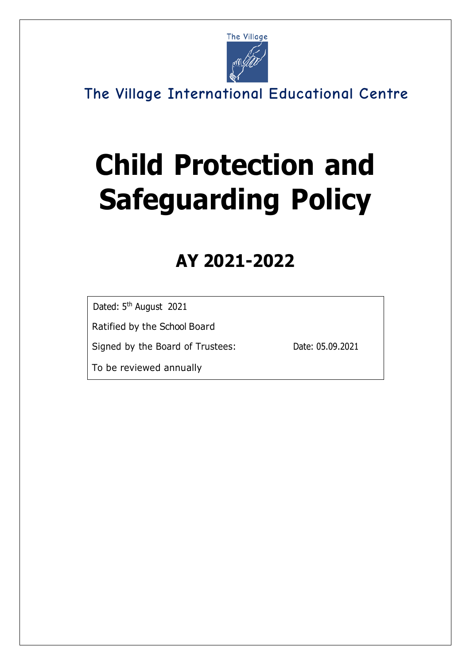

# **Child Protection and Safeguarding Policy**

# **AY 2021-2022**

Dated: 5<sup>th</sup> August 2021

Ratified by the School Board

Signed by the Board of Trustees: Date: 05.09.2021

To be reviewed annually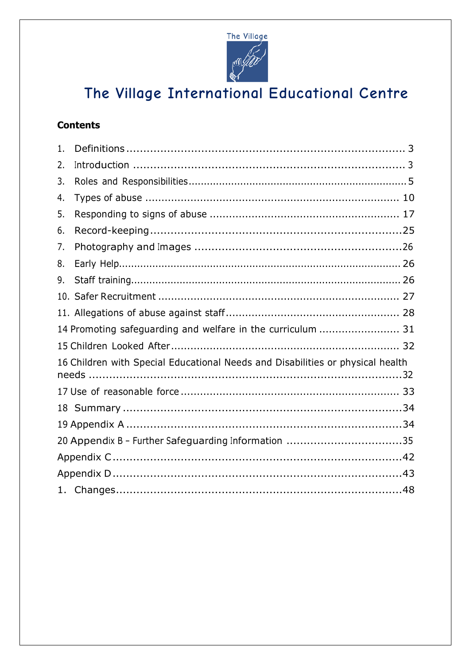

### **Contents**

| 1.                                                                             |                                                     |  |  |  |
|--------------------------------------------------------------------------------|-----------------------------------------------------|--|--|--|
| 2.                                                                             |                                                     |  |  |  |
| 3.                                                                             |                                                     |  |  |  |
| 4.                                                                             |                                                     |  |  |  |
| 5.                                                                             |                                                     |  |  |  |
| 6.                                                                             |                                                     |  |  |  |
| 7.                                                                             |                                                     |  |  |  |
| 8.                                                                             |                                                     |  |  |  |
| 9.                                                                             |                                                     |  |  |  |
|                                                                                |                                                     |  |  |  |
|                                                                                |                                                     |  |  |  |
| 14 Promoting safeguarding and welfare in the curriculum  31                    |                                                     |  |  |  |
|                                                                                |                                                     |  |  |  |
| 16 Children with Special Educational Needs and Disabilities or physical health |                                                     |  |  |  |
|                                                                                |                                                     |  |  |  |
|                                                                                |                                                     |  |  |  |
|                                                                                |                                                     |  |  |  |
|                                                                                | 20 Appendix B - Further Safeguarding Information 35 |  |  |  |
|                                                                                |                                                     |  |  |  |
|                                                                                |                                                     |  |  |  |
|                                                                                |                                                     |  |  |  |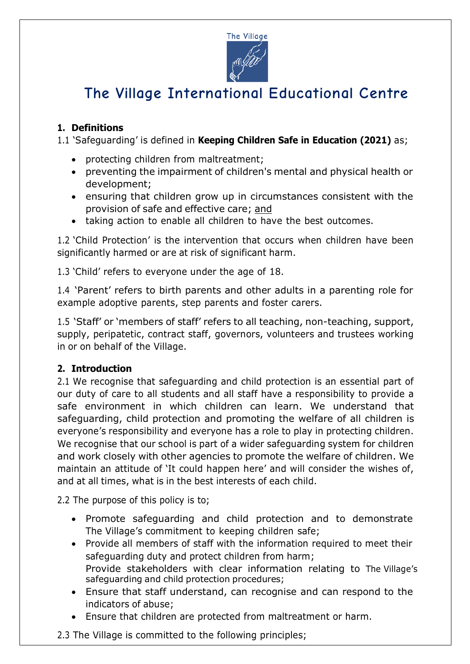

### **1. Definitions**

1.1 'Safeguarding' is defined in **Keeping Children Safe in Education (2021)** as;

- protecting children from maltreatment;
- preventing the impairment of children's mental and physical health or development;
- ensuring that children grow up in circumstances consistent with the provision of safe and effective care; and
- taking action to enable all children to have the best outcomes.

1.2 'Child Protection' is the intervention that occurs when children have been significantly harmed or are at risk of significant harm.

1.3 'Child' refers to everyone under the age of 18.

1.4 'Parent' refers to birth parents and other adults in a parenting role for example adoptive parents, step parents and foster carers.

1.5 'Staff' or 'members of staff' refers to all teaching, non-teaching, support, supply, peripatetic, contract staff, governors, volunteers and trustees working in or on behalf of the Village.

#### **2. Introduction**

2.1 We recognise that safeguarding and child protection is an essential part of our duty of care to all students and all staff have a responsibility to provide a safe environment in which children can learn. We understand that safeguarding, child protection and promoting the welfare of all children is everyone's responsibility and everyone has a role to play in protecting children. We recognise that our school is part of a wider safeguarding system for children and work closely with other agencies to promote the welfare of children. We maintain an attitude of 'It could happen here' and will consider the wishes of, and at all times, what is in the best interests of each child.

2.2 The purpose of this policy is to;

- Promote safeguarding and child protection and to demonstrate The Village's commitment to keeping children safe;
- Provide all members of staff with the information required to meet their safeguarding duty and protect children from harm; Provide stakeholders with clear information relating to The Village's safeguarding and child protection procedures;
- Ensure that staff understand, can recognise and can respond to the indicators of abuse;
- Ensure that children are protected from maltreatment or harm.

2.3 The Village is committed to the following principles;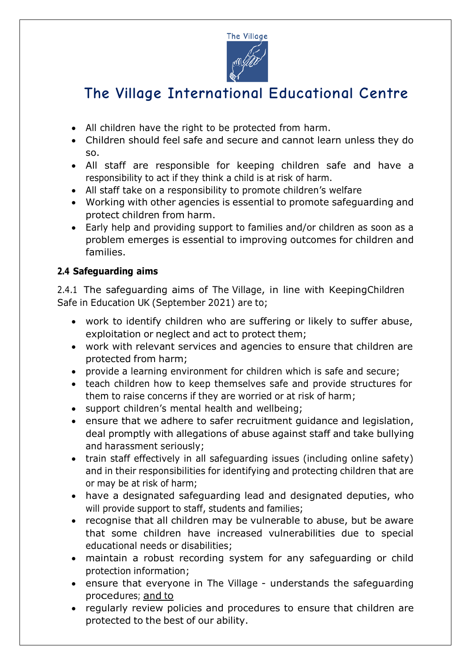

- All children have the right to be protected from harm.
- Children should feel safe and secure and cannot learn unless they do so.
- All staff are responsible for keeping children safe and have a responsibility to act if they think a child is at risk of harm.
- All staff take on a responsibility to promote children's welfare
- Working with other agencies is essential to promote safeguarding and protect children from harm.
- Early help and providing support to families and/or children as soon as a problem emerges is essential to improving outcomes for children and families.

### **2.4 Safeguarding aims**

2.4.1 The safeguarding aims of The Village, in line with KeepingChildren Safe in Education UK (September 2021) are to;

- work to identify children who are suffering or likely to suffer abuse, exploitation or neglect and act to protect them;
- work with relevant services and agencies to ensure that children are protected from harm;
- provide a learning environment for children which is safe and secure;
- teach children how to keep themselves safe and provide structures for them to raise concerns if they are worried or at risk of harm;
- support children's mental health and wellbeing;
- ensure that we adhere to safer recruitment guidance and legislation, deal promptly with allegations of abuse against staff and take bullying and harassment seriously;
- train staff effectively in all safeguarding issues (including online safety) and in their responsibilities for identifying and protecting children that are or may be at risk of harm;
- have a designated safeguarding lead and designated deputies, who will provide support to staff, students and families;
- recognise that all children may be vulnerable to abuse, but be aware that some children have increased vulnerabilities due to special educational needs or disabilities;
- maintain a robust recording system for any safeguarding or child protection information;
- ensure that everyone in The Village understands the safeguarding procedures; and to
- regularly review policies and procedures to ensure that children are protected to the best of our ability.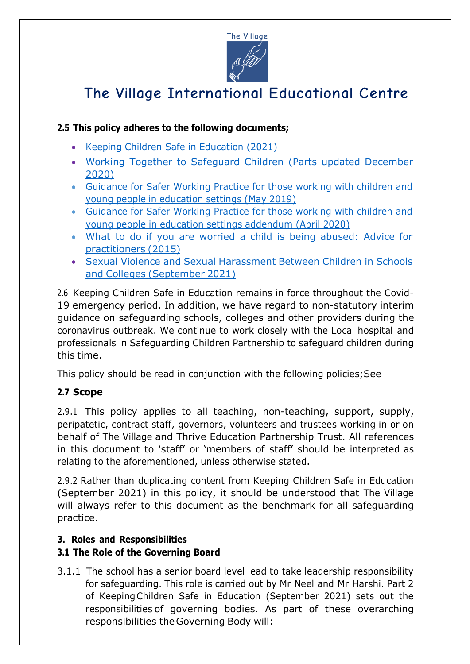

### **2.5 This policy adheres to the following documents;**

- Keeping Children Safe in Education (2021)
- Working Together to Safeguard Children (Parts updated December 2020)
- Guidance for Safer Working Practice for those working with children and young people in education settings (May 2019)
- Guidance for Safer Working Practice for those working with children and young people in education settings addendum (April 2020)
- What to do if you are worried a child is being abused: Advice for practitioners (2015)
- Sexual Violence and Sexual Harassment Between Children in Schools and Colleges (September 2021)

2.6 Keeping Children Safe in Education remains in force throughout the Covid-19 emergency period. In addition, we have regard to non-statutory interim guidance on safeguarding schools, colleges and other providers during the coronavirus outbreak. We continue to work closely with the Local hospital and professionals in Safeguarding Children Partnership to safeguard children during this time.

This policy should be read in conjunction with the following policies;See

### **2.7 Scope**

2.9.1 This policy applies to all teaching, non-teaching, support, supply, peripatetic, contract staff, governors, volunteers and trustees working in or on behalf of The Village and Thrive Education Partnership Trust. All references in this document to 'staff' or 'members of staff' should be interpreted as relating to the aforementioned, unless otherwise stated.

2.9.2 Rather than duplicating content from Keeping Children Safe in Education (September 2021) in this policy, it should be understood that The Village will always refer to this document as the benchmark for all safeguarding practice.

### **3. Roles and Responsibilities**

### **3.1 The Role of the Governing Board**

3.1.1 The school has a senior board level lead to take leadership responsibility for safeguarding. This role is carried out by Mr Neel and Mr Harshi. Part 2 of KeepingChildren Safe in Education (September 2021) sets out the responsibilities of governing bodies. As part of these overarching responsibilities the Governing Body will: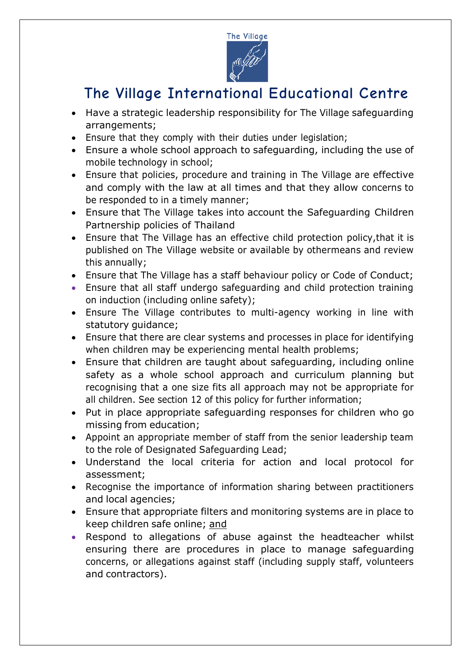

- Have a strategic leadership responsibility for The Village safeguarding arrangements;
- Ensure that they comply with their duties under legislation;
- Ensure a whole school approach to safeguarding, including the use of mobile technology in school;
- Ensure that policies, procedure and training in The Village are effective and comply with the law at all times and that they allow concerns to be responded to in a timely manner;
- Ensure that The Village takes into account the Safeguarding Children Partnership policies of Thailand
- Ensure that The Village has an effective child protection policy,that it is published on The Village website or available by othermeans and review this annually;
- Ensure that The Village has a staff behaviour policy or Code of Conduct;
- Ensure that all staff undergo safeguarding and child protection training on induction (including online safety);
- Ensure The Village contributes to multi-agency working in line with statutory guidance;
- Ensure that there are clear systems and processes in place for identifying when children may be experiencing mental health problems;
- Ensure that children are taught about safeguarding, including online safety as a whole school approach and curriculum planning but recognising that a one size fits all approach may not be appropriate for all children. See section 12 of this policy for further information;
- Put in place appropriate safeguarding responses for children who go missing from education;
- Appoint an appropriate member of staff from the senior leadership team to the role of Designated Safeguarding Lead;
- Understand the local criteria for action and local protocol for assessment;
- Recognise the importance of information sharing between practitioners and local agencies;
- Ensure that appropriate filters and monitoring systems are in place to keep children safe online; and
- Respond to allegations of abuse against the headteacher whilst ensuring there are procedures in place to manage safeguarding concerns, or allegations against staff (including supply staff, volunteers and contractors).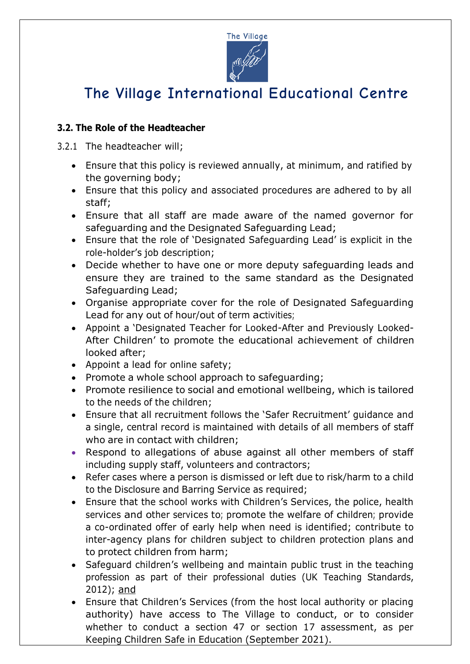

### **3.2. The Role of the Headteacher**

3.2.1 The headteacher will;

- Ensure that this policy is reviewed annually, at minimum, and ratified by the governing body;
- Ensure that this policy and associated procedures are adhered to by all staff;
- Ensure that all staff are made aware of the named governor for safeguarding and the Designated Safeguarding Lead;
- Ensure that the role of 'Designated Safeguarding Lead' is explicit in the role-holder's job description;
- Decide whether to have one or more deputy safeguarding leads and ensure they are trained to the same standard as the Designated Safeguarding Lead;
- Organise appropriate cover for the role of Designated Safeguarding Lead for any out of hour/out of term activities;
- Appoint a 'Designated Teacher for Looked-After and Previously Looked-After Children' to promote the educational achievement of children looked after;
- Appoint a lead for online safety;
- Promote a whole school approach to safeguarding;
- Promote resilience to social and emotional wellbeing, which is tailored to the needs of the children;
- Ensure that all recruitment follows the 'Safer Recruitment' guidance and a single, central record is maintained with details of all members of staff who are in contact with children;
- Respond to allegations of abuse against all other members of staff including supply staff, volunteers and contractors;
- Refer cases where a person is dismissed or left due to risk/harm to a child to the Disclosure and Barring Service as required;
- Ensure that the school works with Children's Services, the police, health services and other services to; promote the welfare of children; provide a co-ordinated offer of early help when need is identified; contribute to inter-agency plans for children subject to children protection plans and to protect children from harm;
- Safeguard children's wellbeing and maintain public trust in the teaching profession as part of their professional duties (UK Teaching Standards, 2012); and
- Ensure that Children's Services (from the host local authority or placing authority) have access to The Village to conduct, or to consider whether to conduct a section 47 or section 17 assessment, as per Keeping Children Safe in Education (September 2021).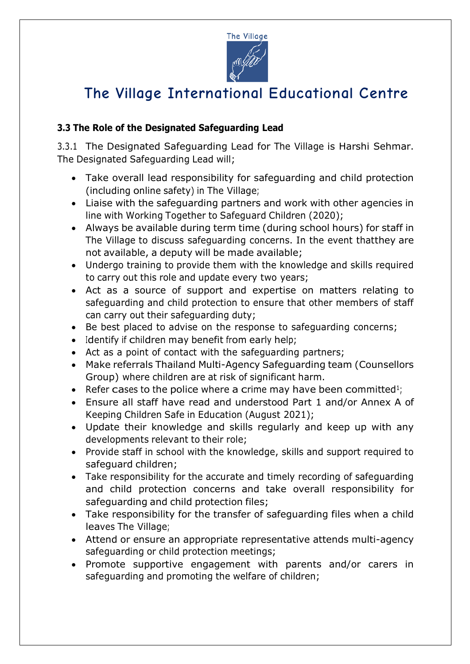

### **3.3 The Role of the Designated Safeguarding Lead**

3.3.1 The Designated Safeguarding Lead for The Village is Harshi Sehmar. The Designated Safeguarding Lead will;

- Take overall lead responsibility for safeguarding and child protection (including online safety) in The Village;
- Liaise with the safeguarding partners and work with other agencies in line with Working Together to Safeguard Children (2020);
- Always be available during term time (during school hours) for staff in The Village to discuss safeguarding concerns. In the event thatthey are not available, a deputy will be made available;
- Undergo training to provide them with the knowledge and skills required to carry out this role and update every two years;
- Act as a source of support and expertise on matters relating to safeguarding and child protection to ensure that other members of staff can carry out their safeguarding duty;
- Be best placed to advise on the response to safeguarding concerns;
- Identify if children may benefit from early help;
- Act as a point of contact with the safeguarding partners;
- Make referrals Thailand Multi-Agency Safeguarding team (Counsellors Group) where children are at risk of significant harm.
- Refer cases to the police where a crime may have been committed<sup>1</sup>;
- Ensure all staff have read and understood Part 1 and/or Annex A of Keeping Children Safe in Education (August 2021);
- Update their knowledge and skills regularly and keep up with any developments relevant to their role;
- Provide staff in school with the knowledge, skills and support required to safeguard children;
- Take responsibility for the accurate and timely recording of safeguarding and child protection concerns and take overall responsibility for safeguarding and child protection files;
- Take responsibility for the transfer of safeguarding files when a child leaves The Village;
- Attend or ensure an appropriate representative attends multi-agency safeguarding or child protection meetings;
- Promote supportive engagement with parents and/or carers in safeguarding and promoting the welfare of children;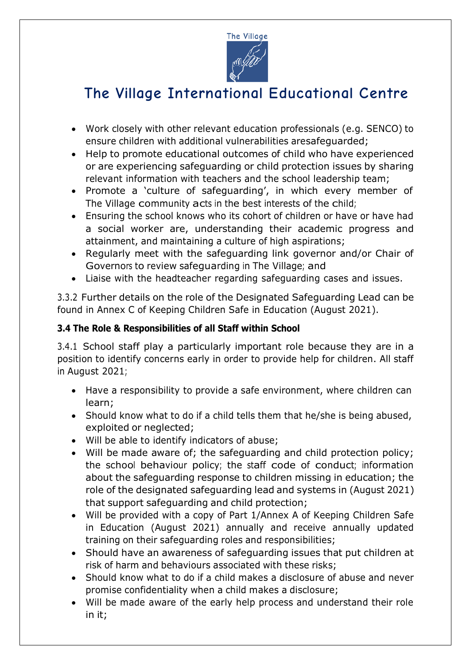

- Work closely with other relevant education professionals (e.g. SENCO) to ensure children with additional vulnerabilities aresafeguarded;
- Help to promote educational outcomes of child who have experienced or are experiencing safeguarding or child protection issues by sharing relevant information with teachers and the school leadership team;
- Promote a 'culture of safeguarding', in which every member of The Village community acts in the best interests of the child;
- Ensuring the school knows who its cohort of children or have or have had a social worker are, understanding their academic progress and attainment, and maintaining a culture of high aspirations;
- Regularly meet with the safeguarding link governor and/or Chair of Governors to review safeguarding in The Village; and
- Liaise with the headteacher regarding safeguarding cases and issues.

3.3.2 Further details on the role of the Designated Safeguarding Lead can be found in Annex C of Keeping Children Safe in Education (August 2021).

### **3.4 The Role & Responsibilities of all Staff within School**

3.4.1 School staff play a particularly important role because they are in a position to identify concerns early in order to provide help for children. All staff in August 2021;

- Have a responsibility to provide a safe environment, where children can learn;
- Should know what to do if a child tells them that he/she is being abused, exploited or neglected;
- Will be able to identify indicators of abuse;
- Will be made aware of; the safeguarding and child protection policy; the school behaviour policy; the staff code of conduct; information about the safeguarding response to children missing in education; the role of the designated safeguarding lead and systems in (August 2021) that support safeguarding and child protection;
- Will be provided with a copy of Part 1/Annex A of Keeping Children Safe in Education (August 2021) annually and receive annually updated training on their safeguarding roles and responsibilities;
- Should have an awareness of safeguarding issues that put children at risk of harm and behaviours associated with these risks;
- Should know what to do if a child makes a disclosure of abuse and never promise confidentiality when a child makes a disclosure;
- Will be made aware of the early help process and understand their role in it;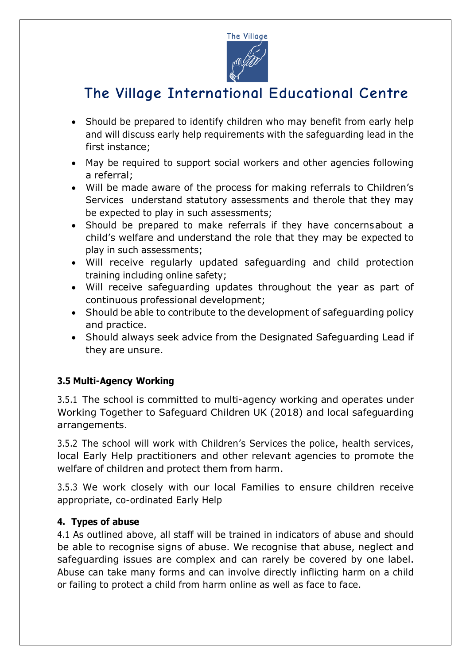

- Should be prepared to identify children who may benefit from early help and will discuss early help requirements with the safeguarding lead in the first instance;
- May be required to support social workers and other agencies following a referral;
- Will be made aware of the process for making referrals to Children's Services understand statutory assessments and therole that they may be expected to play in such assessments;
- Should be prepared to make referrals if they have concernsabout a child's welfare and understand the role that they may be expected to play in such assessments;
- Will receive regularly updated safeguarding and child protection training including online safety;
- Will receive safeguarding updates throughout the year as part of continuous professional development;
- Should be able to contribute to the development of safeguarding policy and practice.
- Should always seek advice from the Designated Safeguarding Lead if they are unsure.

#### **3.5 Multi-Agency Working**

3.5.1 The school is committed to multi-agency working and operates under Working Together to Safeguard Children UK (2018) and local safeguarding arrangements.

3.5.2 The school will work with Children's Services the police, health services, local Early Help practitioners and other relevant agencies to promote the welfare of children and protect them from harm.

3.5.3 We work closely with our local Families to ensure children receive appropriate, co-ordinated Early Help

#### **4. Types of abuse**

4.1 As outlined above, all staff will be trained in indicators of abuse and should be able to recognise signs of abuse. We recognise that abuse, neglect and safeguarding issues are complex and can rarely be covered by one label. Abuse can take many forms and can involve directly inflicting harm on a child or failing to protect a child from harm online as well as face to face.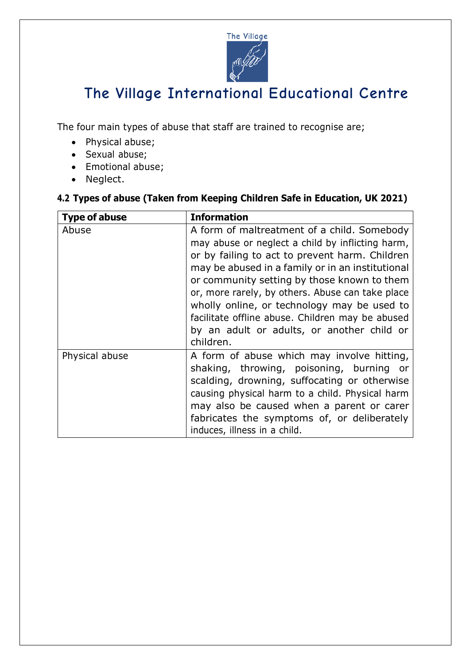

The four main types of abuse that staff are trained to recognise are;

- Physical abuse;
- Sexual abuse;
- Emotional abuse;
- Neglect.

#### **4.2 Types of abuse (Taken from Keeping Children Safe in Education, UK 2021)**

| <b>Type of abuse</b> | <b>Information</b>                                                                                                                                                                                                                                                                                                                                                                                                                                                     |
|----------------------|------------------------------------------------------------------------------------------------------------------------------------------------------------------------------------------------------------------------------------------------------------------------------------------------------------------------------------------------------------------------------------------------------------------------------------------------------------------------|
| Abuse                | A form of maltreatment of a child. Somebody<br>may abuse or neglect a child by inflicting harm,<br>or by failing to act to prevent harm. Children<br>may be abused in a family or in an institutional<br>or community setting by those known to them<br>or, more rarely, by others. Abuse can take place<br>wholly online, or technology may be used to<br>facilitate offline abuse. Children may be abused<br>by an adult or adults, or another child or<br>children. |
| Physical abuse       | A form of abuse which may involve hitting,<br>shaking, throwing, poisoning, burning or<br>scalding, drowning, suffocating or otherwise<br>causing physical harm to a child. Physical harm<br>may also be caused when a parent or carer<br>fabricates the symptoms of, or deliberately<br>induces, illness in a child.                                                                                                                                                  |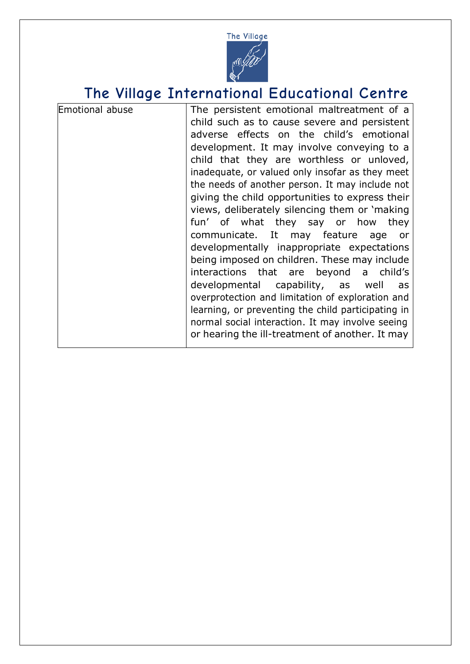

| Emotional abuse | The persistent emotional maltreatment of a         |
|-----------------|----------------------------------------------------|
|                 | child such as to cause severe and persistent       |
|                 | adverse effects on the child's emotional           |
|                 | development. It may involve conveying to a         |
|                 | child that they are worthless or unloved,          |
|                 | inadequate, or valued only insofar as they meet    |
|                 | the needs of another person. It may include not    |
|                 | giving the child opportunities to express their    |
|                 | views, deliberately silencing them or 'making      |
|                 | fun' of what they say or how<br>they               |
|                 | communicate. It may feature age<br>or              |
|                 | developmentally inappropriate expectations         |
|                 | being imposed on children. These may include       |
|                 | interactions that are beyond a child's             |
|                 | developmental capability, as well<br>as            |
|                 | overprotection and limitation of exploration and   |
|                 | learning, or preventing the child participating in |
|                 | normal social interaction. It may involve seeing   |
|                 | or hearing the ill-treatment of another. It may    |
|                 |                                                    |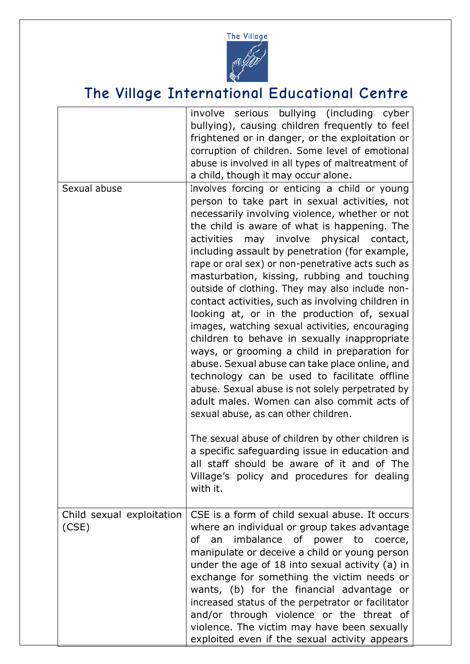

|                                    | involve serious bullying (including cyber<br>bullying), causing children frequently to feel<br>frightened or in danger, or the exploitation or<br>corruption of children. Some level of emotional<br>abuse is involved in all types of maltreatment of<br>a child, though it may occur alone.                                                                                                                                                                                                                                                                                                                                                                                                                                                                                                                                                                                                                                                                                                                                                                                                                                                                            |
|------------------------------------|--------------------------------------------------------------------------------------------------------------------------------------------------------------------------------------------------------------------------------------------------------------------------------------------------------------------------------------------------------------------------------------------------------------------------------------------------------------------------------------------------------------------------------------------------------------------------------------------------------------------------------------------------------------------------------------------------------------------------------------------------------------------------------------------------------------------------------------------------------------------------------------------------------------------------------------------------------------------------------------------------------------------------------------------------------------------------------------------------------------------------------------------------------------------------|
| Sexual abuse                       | Involves forcing or enticing a child or young<br>person to take part in sexual activities, not<br>necessarily involving violence, whether or not<br>the child is aware of what is happening. The<br>activities may involve physical contact,<br>including assault by penetration (for example,<br>rape or oral sex) or non-penetrative acts such as<br>masturbation, kissing, rubbing and touching<br>outside of clothing. They may also include non-<br>contact activities, such as involving children in<br>looking at, or in the production of, sexual<br>images, watching sexual activities, encouraging<br>children to behave in sexually inappropriate<br>ways, or grooming a child in preparation for<br>abuse. Sexual abuse can take place online, and<br>technology can be used to facilitate offline<br>abuse. Sexual abuse is not solely perpetrated by<br>adult males. Women can also commit acts of<br>sexual abuse, as can other children.<br>The sexual abuse of children by other children is<br>a specific safeguarding issue in education and<br>all staff should be aware of it and of The<br>Village's policy and procedures for dealing<br>with it. |
| Child sexual exploitation<br>(CSE) | CSE is a form of child sexual abuse. It occurs<br>where an individual or group takes advantage<br>an<br>imbalance of power to coerce,<br>of<br>manipulate or deceive a child or young person<br>under the age of 18 into sexual activity (a) in<br>exchange for something the victim needs or<br>wants, (b) for the financial advantage or<br>increased status of the perpetrator or facilitator<br>and/or through violence or the threat of<br>violence. The victim may have been sexually<br>exploited even if the sexual activity appears                                                                                                                                                                                                                                                                                                                                                                                                                                                                                                                                                                                                                             |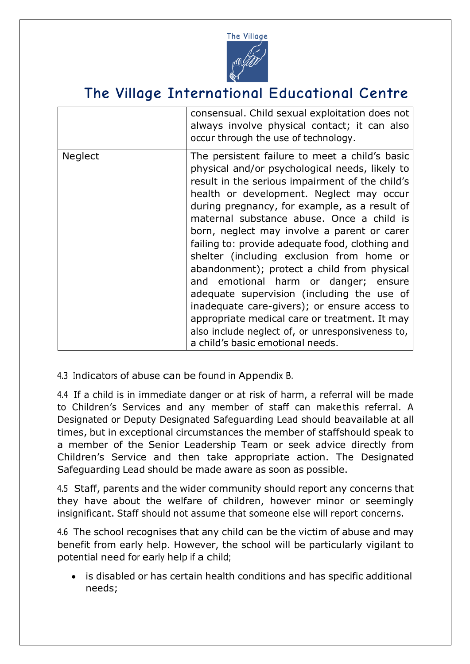

|                | consensual. Child sexual exploitation does not<br>always involve physical contact; it can also<br>occur through the use of technology.                                                                                                                                                                                                                                                                                                                                                                                                                                                                                                                                                                                                                                     |
|----------------|----------------------------------------------------------------------------------------------------------------------------------------------------------------------------------------------------------------------------------------------------------------------------------------------------------------------------------------------------------------------------------------------------------------------------------------------------------------------------------------------------------------------------------------------------------------------------------------------------------------------------------------------------------------------------------------------------------------------------------------------------------------------------|
| <b>Neglect</b> | The persistent failure to meet a child's basic<br>physical and/or psychological needs, likely to<br>result in the serious impairment of the child's<br>health or development. Neglect may occur<br>during pregnancy, for example, as a result of<br>maternal substance abuse. Once a child is<br>born, neglect may involve a parent or carer<br>failing to: provide adequate food, clothing and<br>shelter (including exclusion from home or<br>abandonment); protect a child from physical<br>and emotional harm or danger; ensure<br>adequate supervision (including the use of<br>inadequate care-givers); or ensure access to<br>appropriate medical care or treatment. It may<br>also include neglect of, or unresponsiveness to,<br>a child's basic emotional needs. |

4.3 Indicators of abuse can be found in Appendix B.

4.4 If a child is in immediate danger or at risk of harm, a referral will be made to Children's Services and any member of staff can make this referral. A Designated or Deputy Designated Safeguarding Lead should beavailable at all times, but in exceptional circumstances the member of staffshould speak to a member of the Senior Leadership Team or seek advice directly from Children's Service and then take appropriate action. The Designated Safeguarding Lead should be made aware as soon as possible.

4.5 Staff, parents and the wider community should report any concerns that they have about the welfare of children, however minor or seemingly insignificant. Staff should not assume that someone else will report concerns.

4.6 The school recognises that any child can be the victim of abuse and may benefit from early help. However, the school will be particularly vigilant to potential need for early help if a child;

is disabled or has certain health conditions and has specific additional needs;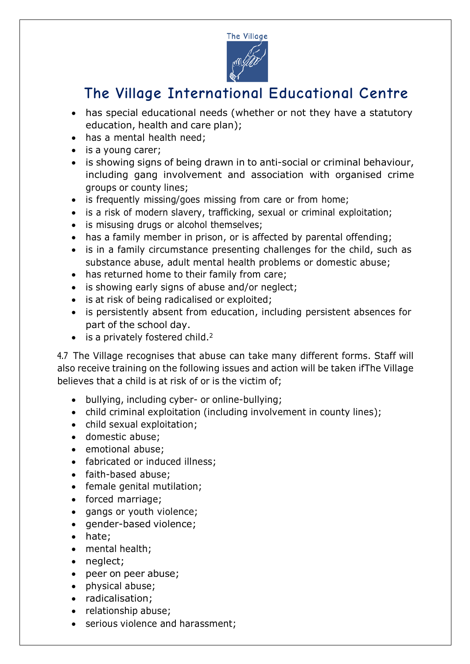

- has special educational needs (whether or not they have a statutory education, health and care plan);
- has a mental health need;
- is a young carer;
- is showing signs of being drawn in to anti-social or criminal behaviour, including gang involvement and association with organised crime groups or county lines;
- is frequently missing/goes missing from care or from home;
- is a risk of modern slavery, trafficking, sexual or criminal exploitation;
- is misusing drugs or alcohol themselves;
- has a family member in prison, or is affected by parental offending;
- is in a family circumstance presenting challenges for the child, such as substance abuse, adult mental health problems or domestic abuse;
- has returned home to their family from care;
- is showing early signs of abuse and/or neglect;
- is at risk of being radicalised or exploited;
- is persistently absent from education, including persistent absences for part of the school day.
- is a privately fostered child.<sup>2</sup>

4.7 The Village recognises that abuse can take many different forms. Staff will also receive training on the following issues and action will be taken ifThe Village believes that a child is at risk of or is the victim of;

- bullying, including cyber- or online-bullying;
- child criminal exploitation (including involvement in county lines);
- child sexual exploitation;
- domestic abuse;
- emotional abuse;
- fabricated or induced illness;
- faith-based abuse;
- female genital mutilation;
- forced marriage;
- gangs or youth violence;
- gender-based violence;
- hate;
- mental health;
- neglect;
- peer on peer abuse;
- physical abuse;
- radicalisation;
- relationship abuse;
- serious violence and harassment;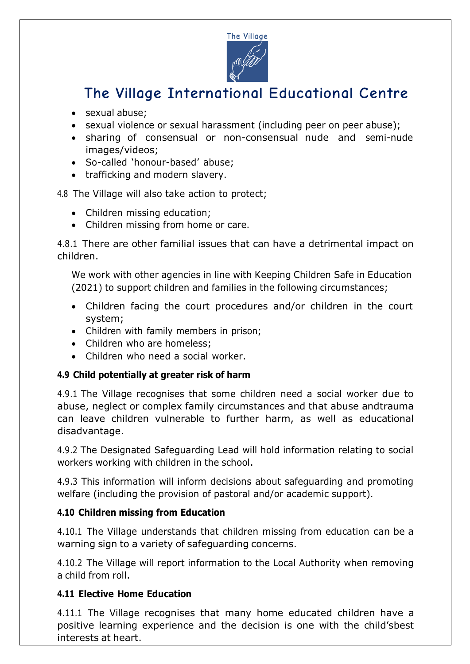

- sexual abuse;
- sexual violence or sexual harassment (including peer on peer abuse);
- sharing of consensual or non-consensual nude and semi-nude images/videos;
- So-called 'honour-based' abuse;
- trafficking and modern slavery.

#### 4.8 The Village will also take action to protect;

- Children missing education;
- Children missing from home or care.

4.8.1 There are other familial issues that can have a detrimental impact on children.

We work with other agencies in line with Keeping Children Safe in Education (2021) to support children and families in the following circumstances;

- Children facing the court procedures and/or children in the court system;
- Children with family members in prison;
- Children who are homeless:
- Children who need a social worker.

### **4.9 Child potentially at greater risk of harm**

4.9.1 The Village recognises that some children need a social worker due to abuse, neglect or complex family circumstances and that abuse andtrauma can leave children vulnerable to further harm, as well as educational disadvantage.

4.9.2 The Designated Safeguarding Lead will hold information relating to social workers working with children in the school.

4.9.3 This information will inform decisions about safeguarding and promoting welfare (including the provision of pastoral and/or academic support).

#### **4.10 Children missing from Education**

4.10.1 The Village understands that children missing from education can be a warning sign to a variety of safeguarding concerns.

4.10.2 The Village will report information to the Local Authority when removing a child from roll.

### **4.11 Elective Home Education**

4.11.1 The Village recognises that many home educated children have a positive learning experience and the decision is one with the child'sbest interests at heart.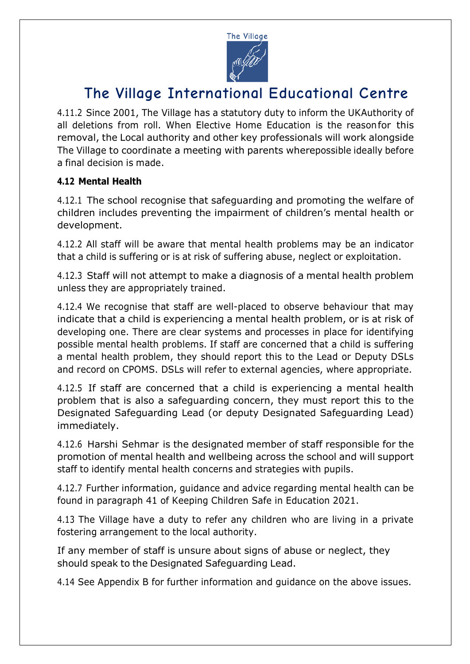

4.11.2 Since 2001, The Village has a statutory duty to inform the UKAuthority of all deletions from roll. When Elective Home Education is the reasonfor this removal, the Local authority and other key professionals will work alongside The Village to coordinate a meeting with parents wherepossible ideally before a final decision is made.

#### **4.12 Mental Health**

4.12.1 The school recognise that safeguarding and promoting the welfare of children includes preventing the impairment of children's mental health or development.

4.12.2 All staff will be aware that mental health problems may be an indicator that a child is suffering or is at risk of suffering abuse, neglect or exploitation.

4.12.3 Staff will not attempt to make a diagnosis of a mental health problem unless they are appropriately trained.

4.12.4 We recognise that staff are well-placed to observe behaviour that may indicate that a child is experiencing a mental health problem, or is at risk of developing one. There are clear systems and processes in place for identifying possible mental health problems. If staff are concerned that a child is suffering a mental health problem, they should report this to the Lead or Deputy DSLs and record on CPOMS. DSLs will refer to external agencies, where appropriate.

4.12.5 If staff are concerned that a child is experiencing a mental health problem that is also a safeguarding concern, they must report this to the Designated Safeguarding Lead (or deputy Designated Safeguarding Lead) immediately.

4.12.6 Harshi Sehmar is the designated member of staff responsible for the promotion of mental health and wellbeing across the school and will support staff to identify mental health concerns and strategies with pupils.

4.12.7 Further information, guidance and advice regarding mental health can be found in paragraph 41 of Keeping Children Safe in Education 2021.

4.13 The Village have a duty to refer any children who are living in a private fostering arrangement to the local authority.

If any member of staff is unsure about signs of abuse or neglect, they should speak to the Designated Safeguarding Lead.

4.14 See Appendix B for further information and guidance on the above issues.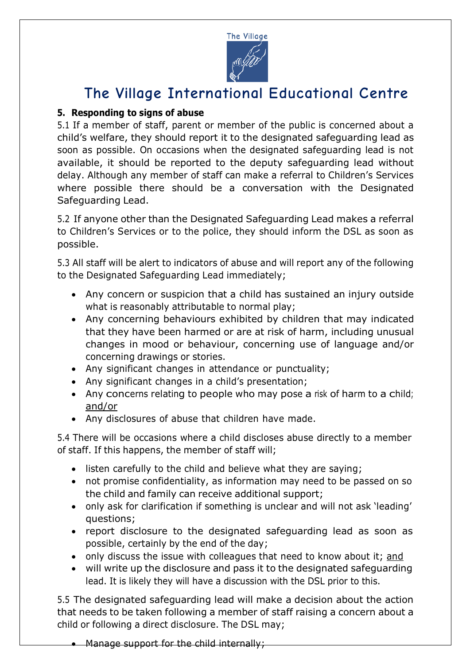

#### **5. Responding to signs of abuse**

5.1 If a member of staff, parent or member of the public is concerned about a child's welfare, they should report it to the designated safeguarding lead as soon as possible. On occasions when the designated safeguarding lead is not available, it should be reported to the deputy safeguarding lead without delay. Although any member of staff can make a referral to Children's Services where possible there should be a conversation with the Designated Safeguarding Lead.

5.2 If anyone other than the Designated Safeguarding Lead makes a referral to Children's Services or to the police, they should inform the DSL as soon as possible.

5.3 All staff will be alert to indicators of abuse and will report any of the following to the Designated Safeguarding Lead immediately;

- Any concern or suspicion that a child has sustained an injury outside what is reasonably attributable to normal play;
- Any concerning behaviours exhibited by children that may indicated that they have been harmed or are at risk of harm, including unusual changes in mood or behaviour, concerning use of language and/or concerning drawings or stories.
- Any significant changes in attendance or punctuality;
- Any significant changes in a child's presentation;
- Any concerns relating to people who may pose a risk of harm to a child; and/or
- Any disclosures of abuse that children have made.

5.4 There will be occasions where a child discloses abuse directly to a member of staff. If this happens, the member of staff will;

- listen carefully to the child and believe what they are saying;
- not promise confidentiality, as information may need to be passed on so the child and family can receive additional support;
- only ask for clarification if something is unclear and will not ask 'leading' questions;
- report disclosure to the designated safeguarding lead as soon as possible, certainly by the end of the day;
- only discuss the issue with colleagues that need to know about it; and
- will write up the disclosure and pass it to the designated safeguarding lead. It is likely they will have a discussion with the DSL prior to this.

5.5 The designated safeguarding lead will make a decision about the action that needs to be taken following a member of staff raising a concern about a child or following a direct disclosure. The DSL may;

• Manage support for the child internally;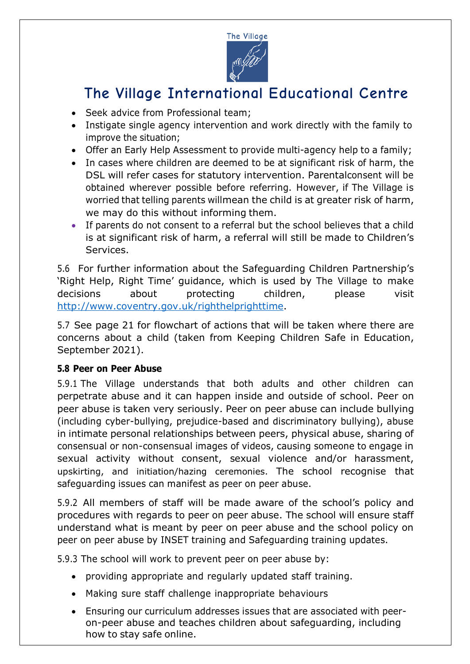

- Seek advice from Professional team:
- Instigate single agency intervention and work directly with the family to improve the situation;
- Offer an Early Help Assessment to provide multi-agency help to a family;
- In cases where children are deemed to be at significant risk of harm, the DSL will refer cases for statutory intervention. Parentalconsent will be obtained wherever possible before referring. However, if The Village is worried that telling parents willmean the child is at greater risk of harm, we may do this without informing them.
- If parents do not consent to a referral but the school believes that a child is at significant risk of harm, a referral will still be made to Children's Services.

5.6 For further information about the Safeguarding Children Partnership's 'Right Help, Right Time' guidance, which is used by The Village to make decisions about protecting children, please visit http://www.coventry.gov.uk/righthelprighttime.

5.7 See page 21 for flowchart of actions that will be taken where there are concerns about a child (taken from Keeping Children Safe in Education, September 2021).

#### **5.8 Peer on Peer Abuse**

5.9.1 The Village understands that both adults and other children can perpetrate abuse and it can happen inside and outside of school. Peer on peer abuse is taken very seriously. Peer on peer abuse can include bullying (including cyber-bullying, prejudice-based and discriminatory bullying), abuse in intimate personal relationships between peers, physical abuse, sharing of consensual or non-consensual images of videos, causing someone to engage in sexual activity without consent, sexual violence and/or harassment, upskirting, and initiation/hazing ceremonies. The school recognise that safeguarding issues can manifest as peer on peer abuse.

5.9.2 All members of staff will be made aware of the school's policy and procedures with regards to peer on peer abuse. The school will ensure staff understand what is meant by peer on peer abuse and the school policy on peer on peer abuse by INSET training and Safeguarding training updates.

5.9.3 The school will work to prevent peer on peer abuse by:

- providing appropriate and regularly updated staff training.
- Making sure staff challenge inappropriate behaviours
- Ensuring our curriculum addresses issues that are associated with peeron-peer abuse and teaches children about safeguarding, including how to stay safe online.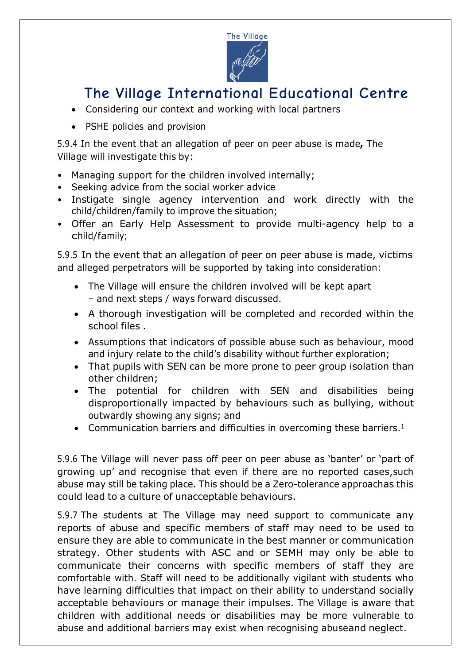

- Considering our context and working with local partners
- PSHE policies and provision

5.9.4 In the event that an allegation of peer on peer abuse is made**,** The Village will investigate this by:

- Managing support for the children involved internally;
- Seeking advice from the social worker advice
- Instigate single agency intervention and work directly with the child/children/family to improve the situation;
- Offer an Early Help Assessment to provide multi-agency help to a child/family;

5.9.5 In the event that an allegation of peer on peer abuse is made, victims and alleged perpetrators will be supported by taking into consideration:

- The Village will ensure the children involved will be kept apart – and next steps / ways forward discussed.
- A thorough investigation will be completed and recorded within the school files .
- Assumptions that indicators of possible abuse such as behaviour, mood and injury relate to the child's disability without further exploration;
- That pupils with SEN can be more prone to peer group isolation than other children;
- The potential for children with SEN and disabilities being disproportionally impacted by behaviours such as bullying, without outwardly showing any signs; and
- Communication barriers and difficulties in overcoming these barriers.<sup>1</sup>

5.9.6 The Village will never pass off peer on peer abuse as 'banter' or 'part of growing up' and recognise that even if there are no reported cases,such abuse may still be taking place. This should be a Zero-tolerance approachas this could lead to a culture of unacceptable behaviours.

5.9.7 The students at The Village may need support to communicate any reports of abuse and specific members of staff may need to be used to ensure they are able to communicate in the best manner or communication strategy. Other students with ASC and or SEMH may only be able to communicate their concerns with specific members of staff they are comfortable with. Staff will need to be additionally vigilant with students who have learning difficulties that impact on their ability to understand socially acceptable behaviours or manage their impulses. The Village is aware that children with additional needs or disabilities may be more vulnerable to abuse and additional barriers may exist when recognising abuseand neglect.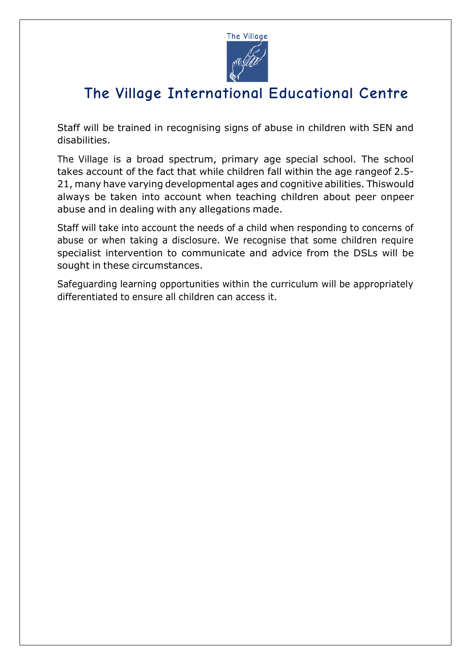

Staff will be trained in recognising signs of abuse in children with SEN and disabilities.

The Village is a broad spectrum, primary age special school. The school takes account of the fact that while children fall within the age rangeof 2.5- 21, many have varying developmental ages and cognitive abilities. Thiswould always be taken into account when teaching children about peer onpeer abuse and in dealing with any allegations made.

Staff will take into account the needs of a child when responding to concerns of abuse or when taking a disclosure. We recognise that some children require specialist intervention to communicate and advice from the DSLs will be sought in these circumstances.

Safeguarding learning opportunities within the curriculum will be appropriately differentiated to ensure all children can access it.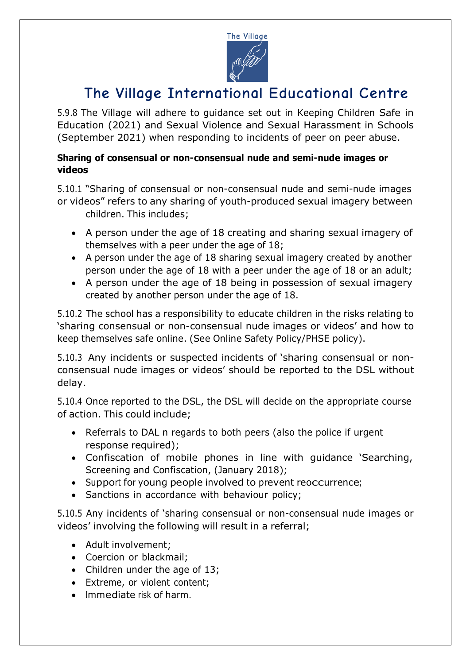

5.9.8 The Village will adhere to guidance set out in Keeping Children Safe in Education (2021) and Sexual Violence and Sexual Harassment in Schools (September 2021) when responding to incidents of peer on peer abuse.

#### **Sharing of consensual or non-consensual nude and semi-nude images or videos**

5.10.1 "Sharing of consensual or non-consensual nude and semi-nude images or videos" refers to any sharing of youth-produced sexual imagery between children. This includes;

- A person under the age of 18 creating and sharing sexual imagery of themselves with a peer under the age of 18;
- A person under the age of 18 sharing sexual imagery created by another person under the age of 18 with a peer under the age of 18 or an adult;
- A person under the age of 18 being in possession of sexual imagery created by another person under the age of 18.

5.10.2 The school has a responsibility to educate children in the risks relating to 'sharing consensual or non-consensual nude images or videos' and how to keep themselves safe online. (See Online Safety Policy/PHSE policy).

5.10.3 Any incidents or suspected incidents of 'sharing consensual or nonconsensual nude images or videos' should be reported to the DSL without delay.

5.10.4 Once reported to the DSL, the DSL will decide on the appropriate course of action. This could include;

- Referrals to DAL n regards to both peers (also the police if urgent response required);
- Confiscation of mobile phones in line with guidance 'Searching, Screening and Confiscation, (January 2018);
- Support for young people involved to prevent reoccurrence;
- Sanctions in accordance with behaviour policy;

5.10.5 Any incidents of 'sharing consensual or non-consensual nude images or videos' involving the following will result in a referral;

- Adult involvement;
- Coercion or blackmail:
- Children under the age of 13;
- Extreme, or violent content;
- Immediate risk of harm.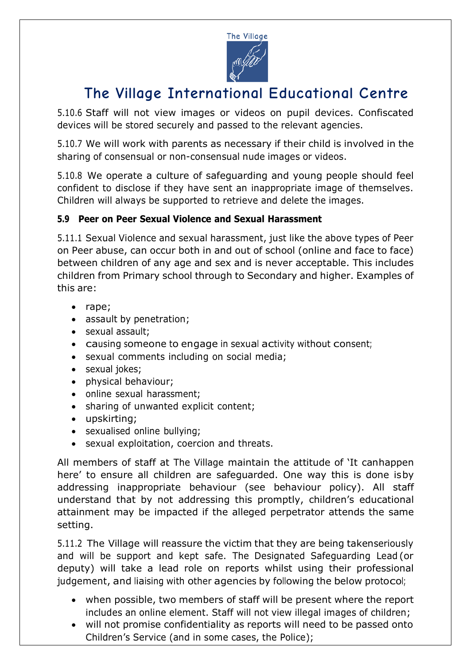

5.10.6 Staff will not view images or videos on pupil devices. Confiscated devices will be stored securely and passed to the relevant agencies.

5.10.7 We will work with parents as necessary if their child is involved in the sharing of consensual or non-consensual nude images or videos.

5.10.8 We operate a culture of safeguarding and young people should feel confident to disclose if they have sent an inappropriate image of themselves. Children will always be supported to retrieve and delete the images.

#### **5.9 Peer on Peer Sexual Violence and Sexual Harassment**

5.11.1 Sexual Violence and sexual harassment, just like the above types of Peer on Peer abuse, can occur both in and out of school (online and face to face) between children of any age and sex and is never acceptable. This includes children from Primary school through to Secondary and higher. Examples of this are:

- rape;
- assault by penetration;
- sexual assault:
- causing someone to engage in sexual activity without consent;
- sexual comments including on social media;
- sexual jokes;
- physical behaviour;
- online sexual harassment;
- sharing of unwanted explicit content;
- upskirting;
- sexualised online bullying;
- sexual exploitation, coercion and threats.

All members of staff at The Village maintain the attitude of 'It canhappen here' to ensure all children are safeguarded. One way this is done isby addressing inappropriate behaviour (see behaviour policy). All staff understand that by not addressing this promptly, children's educational attainment may be impacted if the alleged perpetrator attends the same setting.

5.11.2 The Village will reassure the victim that they are being takenseriously and will be support and kept safe. The Designated Safeguarding Lead (or deputy) will take a lead role on reports whilst using their professional judgement, and liaising with other agencies by following the below protocol;

- when possible, two members of staff will be present where the report includes an online element. Staff will not view illegal images of children;
- will not promise confidentiality as reports will need to be passed onto Children's Service (and in some cases, the Police);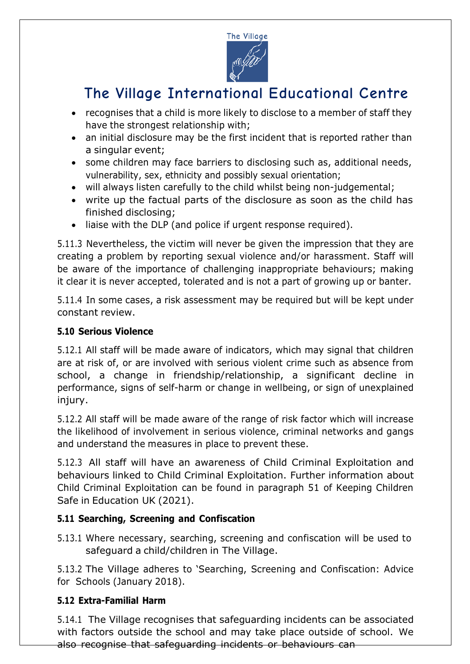

- recognises that a child is more likely to disclose to a member of staff they have the strongest relationship with;
- an initial disclosure may be the first incident that is reported rather than a singular event;
- some children may face barriers to disclosing such as, additional needs, vulnerability, sex, ethnicity and possibly sexual orientation;
- will always listen carefully to the child whilst being non-judgemental;
- write up the factual parts of the disclosure as soon as the child has finished disclosing;
- liaise with the DLP (and police if urgent response required).

5.11.3 Nevertheless, the victim will never be given the impression that they are creating a problem by reporting sexual violence and/or harassment. Staff will be aware of the importance of challenging inappropriate behaviours; making it clear it is never accepted, tolerated and is not a part of growing up or banter.

5.11.4 In some cases, a risk assessment may be required but will be kept under constant review.

#### **5.10 Serious Violence**

5.12.1 All staff will be made aware of indicators, which may signal that children are at risk of, or are involved with serious violent crime such as absence from school, a change in friendship/relationship, a significant decline in performance, signs of self-harm or change in wellbeing, or sign of unexplained injury.

5.12.2 All staff will be made aware of the range of risk factor which will increase the likelihood of involvement in serious violence, criminal networks and gangs and understand the measures in place to prevent these.

5.12.3 All staff will have an awareness of Child Criminal Exploitation and behaviours linked to Child Criminal Exploitation. Further information about Child Criminal Exploitation can be found in paragraph 51 of Keeping Children Safe in Education UK (2021).

#### **5.11 Searching, Screening and Confiscation**

5.13.1 Where necessary, searching, screening and confiscation will be used to safeguard a child/children in The Village.

5.13.2 The Village adheres to 'Searching, Screening and Confiscation: Advice for Schools (January 2018).

#### **5.12 Extra-Familial Harm**

5.14.1 The Village recognises that safeguarding incidents can be associated with factors outside the school and may take place outside of school. We also recognise that safeguarding incidents or behaviours can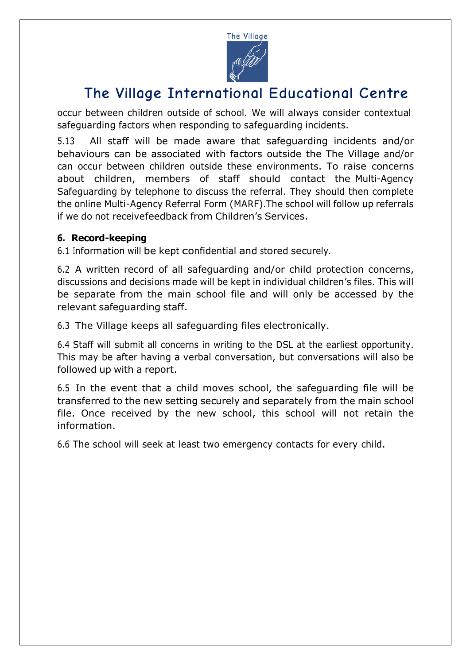

occur between children outside of school. We will always consider contextual safeguarding factors when responding to safeguarding incidents.

5.13 All staff will be made aware that safeguarding incidents and/or behaviours can be associated with factors outside the The Village and/or can occur between children outside these environments. To raise concerns about children, members of staff should contact the Multi-Agency Safeguarding by telephone to discuss the referral. They should then complete the online Multi-Agency Referral Form (MARF).The school will follow up referrals if we do not receivefeedback from Children's Services.

#### **6. Record-keeping**

6.1 Information will be kept confidential and stored securely.

6.2 A written record of all safeguarding and/or child protection concerns, discussions and decisions made will be kept in individual children's files. This will be separate from the main school file and will only be accessed by the relevant safeguarding staff.

6.3 The Village keeps all safeguarding files electronically.

6.4 Staff will submit all concerns in writing to the DSL at the earliest opportunity. This may be after having a verbal conversation, but conversations will also be followed up with a report.

6.5 In the event that a child moves school, the safeguarding file will be transferred to the new setting securely and separately from the main school file. Once received by the new school, this school will not retain the information.

6.6 The school will seek at least two emergency contacts for every child.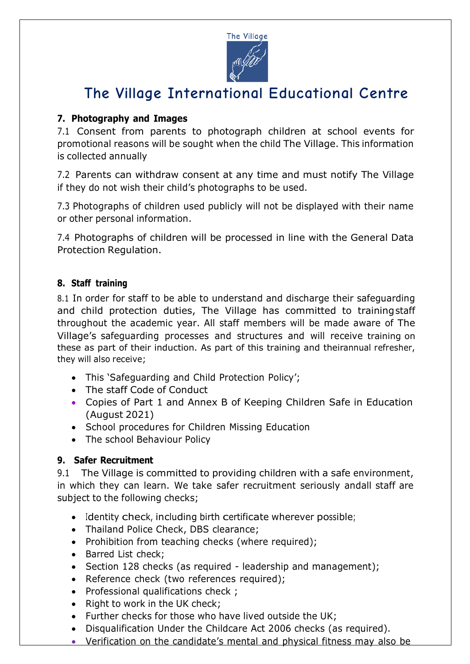

### **7. Photography and Images**

7.1 Consent from parents to photograph children at school events for promotional reasons will be sought when the child The Village. This information is collected annually

7.2 Parents can withdraw consent at any time and must notify The Village if they do not wish their child's photographs to be used.

7.3 Photographs of children used publicly will not be displayed with their name or other personal information.

7.4 Photographs of children will be processed in line with the General Data Protection Regulation.

#### **8. Staff training**

8.1 In order for staff to be able to understand and discharge their safeguarding and child protection duties, The Village has committed to trainingstaff throughout the academic year. All staff members will be made aware of The Village's safeguarding processes and structures and will receive training on these as part of their induction. As part of this training and theirannual refresher, they will also receive;

- This 'Safeguarding and Child Protection Policy';
- The staff Code of Conduct
- Copies of Part 1 and Annex B of Keeping Children Safe in Education (August 2021)
- School procedures for Children Missing Education
- The school Behaviour Policy

#### **9. Safer Recruitment**

9.1 The Village is committed to providing children with a safe environment, in which they can learn. We take safer recruitment seriously andall staff are subject to the following checks;

- Identity check, including birth certificate wherever possible;
- Thailand Police Check, DBS clearance;
- Prohibition from teaching checks (where required);
- Barred List check;
- Section 128 checks (as required leadership and management);
- Reference check (two references required);
- Professional qualifications check ;
- Right to work in the UK check;
- Further checks for those who have lived outside the UK;
- Disqualification Under the Childcare Act 2006 checks (as required).
- Verification on the candidate's mental and physical fitness may also be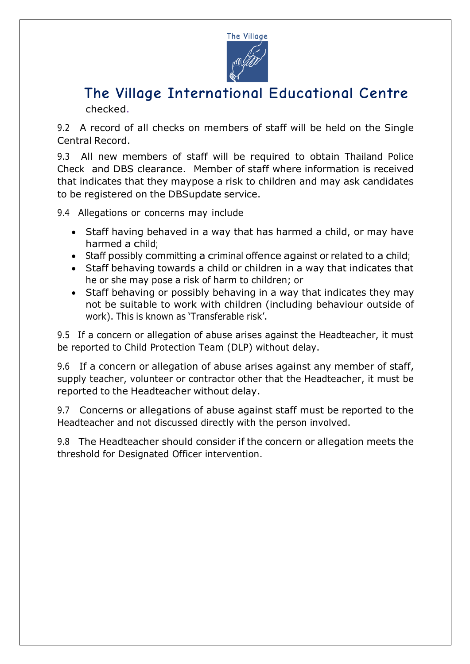

9.2 A record of all checks on members of staff will be held on the Single Central Record.

9.3 All new members of staff will be required to obtain Thailand Police Check and DBS clearance. Member of staff where information is received that indicates that they maypose a risk to children and may ask candidates to be registered on the DBSupdate service.

9.4 Allegations or concerns may include

- Staff having behaved in a way that has harmed a child, or may have harmed a child;
- Staff possibly committing a criminal offence against or related to a child;
- Staff behaving towards a child or children in a way that indicates that he or she may pose a risk of harm to children; or
- Staff behaving or possibly behaving in a way that indicates they may not be suitable to work with children (including behaviour outside of work). This is known as 'Transferable risk'.

9.5 If a concern or allegation of abuse arises against the Headteacher, it must be reported to Child Protection Team (DLP) without delay.

9.6 If a concern or allegation of abuse arises against any member of staff, supply teacher, volunteer or contractor other that the Headteacher, it must be reported to the Headteacher without delay.

9.7 Concerns or allegations of abuse against staff must be reported to the Headteacher and not discussed directly with the person involved.

9.8 The Headteacher should consider if the concern or allegation meets the threshold for Designated Officer intervention.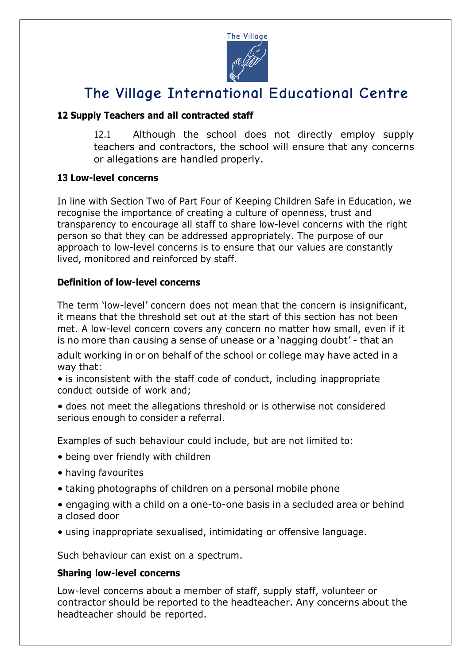

#### **12 Supply Teachers and all contracted staff**

12.1 Although the school does not directly employ supply teachers and contractors, the school will ensure that any concerns or allegations are handled properly.

#### **13 Low-level concerns**

In line with Section Two of Part Four of Keeping Children Safe in Education, we recognise the importance of creating a culture of openness, trust and transparency to encourage all staff to share low-level concerns with the right person so that they can be addressed appropriately. The purpose of our approach to low-level concerns is to ensure that our values are constantly lived, monitored and reinforced by staff.

#### **Definition of low-level concerns**

The term 'low-level' concern does not mean that the concern is insignificant, it means that the threshold set out at the start of this section has not been met. A low-level concern covers any concern no matter how small, even if it is no more than causing a sense of unease or a 'nagging doubt' - that an

adult working in or on behalf of the school or college may have acted in a way that:

• is inconsistent with the staff code of conduct, including inappropriate conduct outside of work and;

• does not meet the allegations threshold or is otherwise not considered serious enough to consider a referral.

Examples of such behaviour could include, but are not limited to:

- being over friendly with children
- having favourites
- taking photographs of children on a personal mobile phone
- engaging with a child on a one-to-one basis in a secluded area or behind a closed door
- using inappropriate sexualised, intimidating or offensive language.

Such behaviour can exist on a spectrum.

#### **Sharing low-level concerns**

Low-level concerns about a member of staff, supply staff, volunteer or contractor should be reported to the headteacher. Any concerns about the headteacher should be reported.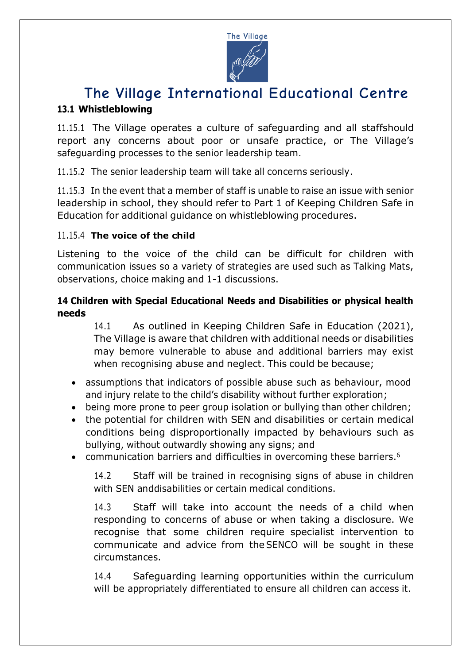

### **The Village International Educational Centre 13.1 Whistleblowing**

11.15.1 The Village operates a culture of safeguarding and all staffshould report any concerns about poor or unsafe practice, or The Village's safeguarding processes to the senior leadership team.

11.15.2 The senior leadership team will take all concerns seriously.

11.15.3 In the event that a member of staff is unable to raise an issue with senior leadership in school, they should refer to Part 1 of Keeping Children Safe in Education for additional guidance on whistleblowing procedures.

#### 11.15.4 **The voice of the child**

Listening to the voice of the child can be difficult for children with communication issues so a variety of strategies are used such as Talking Mats, observations, choice making and 1-1 discussions.

#### **14 Children with Special Educational Needs and Disabilities or physical health needs**

14.1 As outlined in Keeping Children Safe in Education (2021), The Village is aware that children with additional needs or disabilities may bemore vulnerable to abuse and additional barriers may exist when recognising abuse and neglect. This could be because;

- assumptions that indicators of possible abuse such as behaviour, mood and injury relate to the child's disability without further exploration;
- being more prone to peer group isolation or bullying than other children;
- the potential for children with SEN and disabilities or certain medical conditions being disproportionally impacted by behaviours such as bullying, without outwardly showing any signs; and
- communication barriers and difficulties in overcoming these barriers.<sup>6</sup>

14.2 Staff will be trained in recognising signs of abuse in children with SEN anddisabilities or certain medical conditions.

14.3 Staff will take into account the needs of a child when responding to concerns of abuse or when taking a disclosure. We recognise that some children require specialist intervention to communicate and advice from theSENCO will be sought in these circumstances.

14.4 Safeguarding learning opportunities within the curriculum will be appropriately differentiated to ensure all children can access it.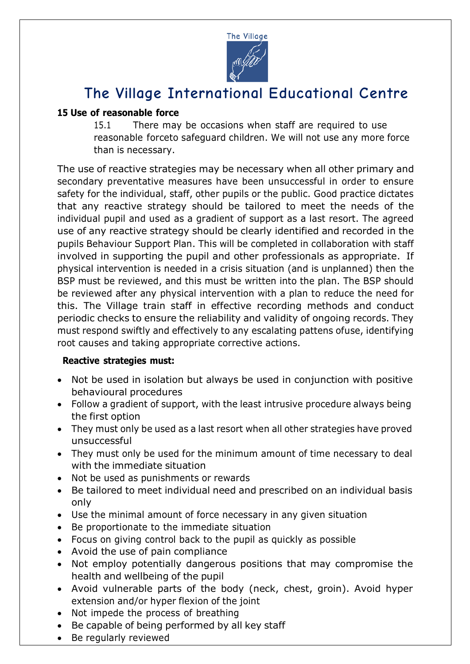

#### **15 Use of reasonable force**

15.1 There may be occasions when staff are required to use reasonable forceto safeguard children. We will not use any more force than is necessary.

The use of reactive strategies may be necessary when all other primary and secondary preventative measures have been unsuccessful in order to ensure safety for the individual, staff, other pupils or the public. Good practice dictates that any reactive strategy should be tailored to meet the needs of the individual pupil and used as a gradient of support as a last resort. The agreed use of any reactive strategy should be clearly identified and recorded in the pupils Behaviour Support Plan. This will be completed in collaboration with staff involved in supporting the pupil and other professionals as appropriate. If physical intervention is needed in a crisis situation (and is unplanned) then the BSP must be reviewed, and this must be written into the plan. The BSP should be reviewed after any physical intervention with a plan to reduce the need for this. The Village train staff in effective recording methods and conduct periodic checks to ensure the reliability and validity of ongoing records. They must respond swiftly and effectively to any escalating pattens ofuse, identifying root causes and taking appropriate corrective actions.

#### **Reactive strategies must:**

- Not be used in isolation but always be used in conjunction with positive behavioural procedures
- Follow a gradient of support, with the least intrusive procedure always being the first option
- They must only be used as a last resort when all other strategies have proved unsuccessful
- They must only be used for the minimum amount of time necessary to deal with the immediate situation
- Not be used as punishments or rewards
- Be tailored to meet individual need and prescribed on an individual basis only
- Use the minimal amount of force necessary in any given situation
- Be proportionate to the immediate situation
- Focus on giving control back to the pupil as quickly as possible
- Avoid the use of pain compliance
- Not employ potentially dangerous positions that may compromise the health and wellbeing of the pupil
- Avoid vulnerable parts of the body (neck, chest, groin). Avoid hyper extension and/or hyper flexion of the joint
- Not impede the process of breathing
- Be capable of being performed by all key staff
- Be regularly reviewed